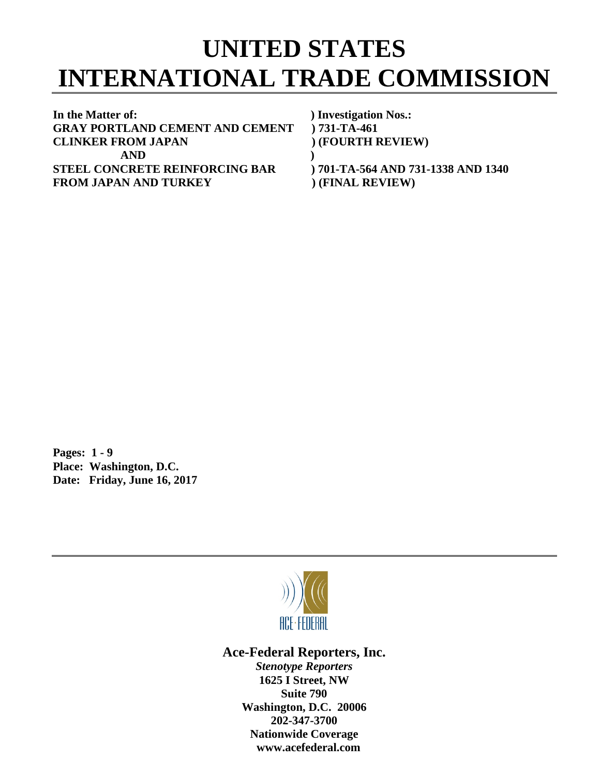## **UNITED STATES INTERNATIONAL TRADE COMMISSION**

**In the Matter of: ) Investigation Nos.: GRAY PORTLAND CEMENT AND CEMENT ) 731-TA-461 CLINKER FROM JAPAN ) (FOURTH REVIEW) AND ) STEEL CONCRETE REINFORCING BAR ) 701-TA-564 AND 731-1338 AND 1340** FROM JAPAN AND TURKEY (FINAL REVIEW)

**Pages: 1 - 9 Place: Washington, D.C. Date: Friday, June 16, 2017**



**Ace-Federal Reporters, Inc.**

*Stenotype Reporters* **1625 I Street, NW Suite 790 Washington, D.C. 20006 202-347-3700 Nationwide Coverage www.acefederal.com**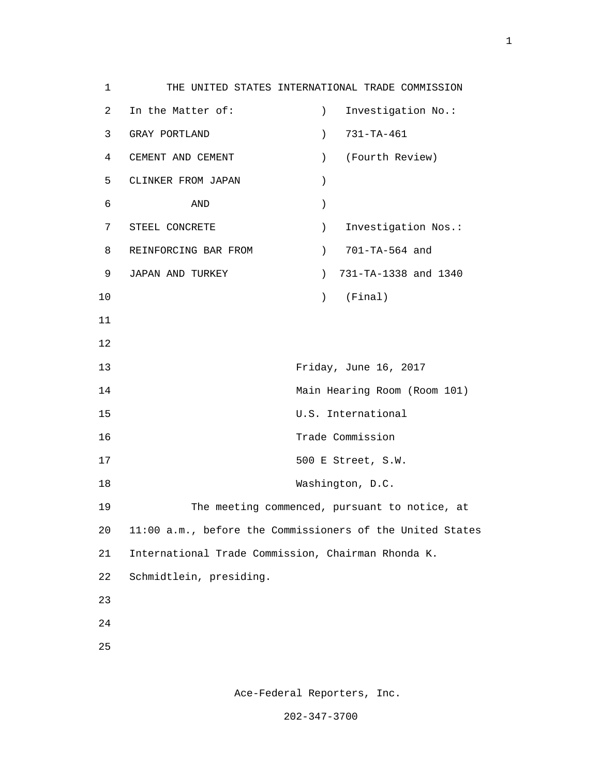1 THE UNITED STATES INTERNATIONAL TRADE COMMISSION 2 In the Matter of: ) Investigation No.: 3 GRAY PORTLAND ) 731-TA-461 4 CEMENT AND CEMENT ) (Fourth Review) 5 CLINKER FROM JAPAN )  $\sim$  6  $\sim$  AND  $\sim$  1 7 STEEL CONCRETE ) Investigation Nos.: 8 REINFORCING BAR FROM (2011-TA-564 and 9 JAPAN AND TURKEY ) 731-TA-1338 and 1340 10 ) (Final) 11 12 13 Friday, June 16, 2017 14 Main Hearing Room (Room 101) 15 U.S. International 16 Trade Commission 17 500 E Street, S.W. 18 Washington, D.C. 19 The meeting commenced, pursuant to notice, at 20 11:00 a.m., before the Commissioners of the United States 21 International Trade Commission, Chairman Rhonda K. 22 Schmidtlein, presiding. 23 24 <u>25</u>

Ace-Federal Reporters, Inc.

202-347-3700

1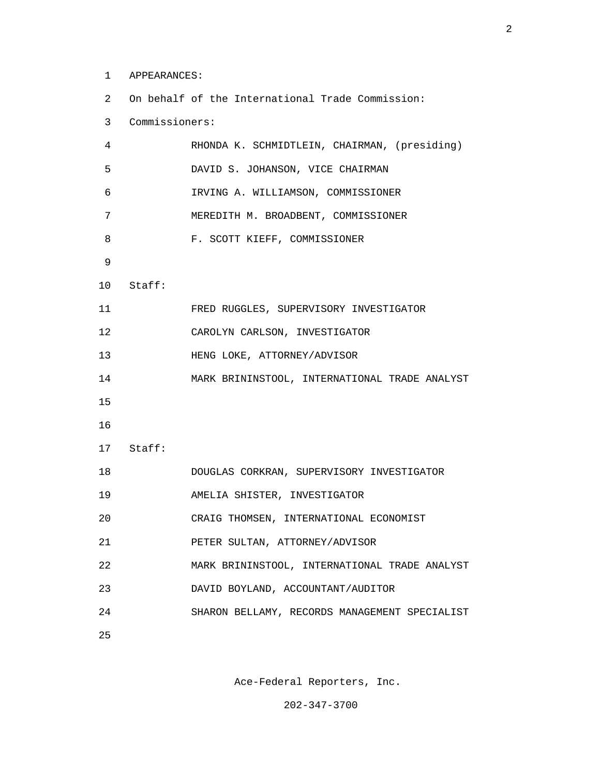1 APPEARANCES:

 2 On behalf of the International Trade Commission: 3 Commissioners: 4 RHONDA K. SCHMIDTLEIN, CHAIRMAN, (presiding) 5 DAVID S. JOHANSON, VICE CHAIRMAN 6 IRVING A. WILLIAMSON, COMMISSIONER 7 MEREDITH M. BROADBENT, COMMISSIONER 8 F. SCOTT KIEFF, COMMISSIONER 9 10 Staff: 11 FRED RUGGLES, SUPERVISORY INVESTIGATOR

 12 CAROLYN CARLSON, INVESTIGATOR 13 HENG LOKE, ATTORNEY/ADVISOR 14 MARK BRININSTOOL, INTERNATIONAL TRADE ANALYST 15 16 17 Staff:

- 18 DOUGLAS CORKRAN, SUPERVISORY INVESTIGATOR
- 19 AMELIA SHISTER, INVESTIGATOR
- 20 CRAIG THOMSEN, INTERNATIONAL ECONOMIST
- 21 PETER SULTAN, ATTORNEY/ADVISOR
- 22 MARK BRININSTOOL, INTERNATIONAL TRADE ANALYST
- 23 DAVID BOYLAND, ACCOUNTANT/AUDITOR
- 24 SHARON BELLAMY, RECORDS MANAGEMENT SPECIALIST
- <u>25</u>

Ace-Federal Reporters, Inc.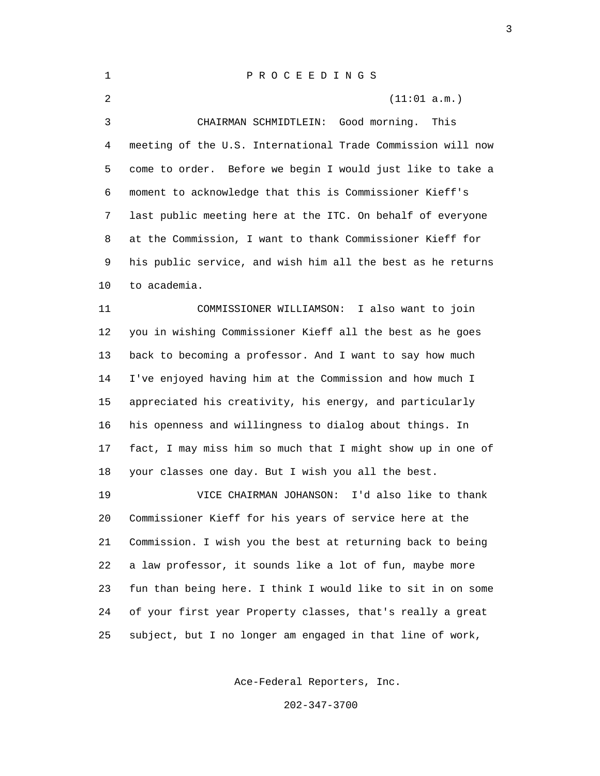| $\mathbf 1$ | P R O C E E D I N G S                                       |
|-------------|-------------------------------------------------------------|
| 2           | (11:01 a.m.)                                                |
| 3           | Good morning.<br>This<br>CHAIRMAN SCHMIDTLEIN:              |
| 4           | meeting of the U.S. International Trade Commission will now |
| 5.          | come to order. Before we begin I would just like to take a  |
| 6           | moment to acknowledge that this is Commissioner Kieff's     |
| 7           | last public meeting here at the ITC. On behalf of everyone  |
| 8           | at the Commission, I want to thank Commissioner Kieff for   |
| 9           | his public service, and wish him all the best as he returns |
| 10          | to academia.                                                |
| 11          | COMMISSIONER WILLIAMSON:<br>I also want to join             |
| 12          | you in wishing Commissioner Kieff all the best as he goes   |
| 13          | back to becoming a professor. And I want to say how much    |
| 14          | I've enjoyed having him at the Commission and how much I    |
| 15          | appreciated his creativity, his energy, and particularly    |
| 16          | his openness and willingness to dialog about things. In     |
| 17          | fact, I may miss him so much that I might show up in one of |
| 18          | your classes one day. But I wish you all the best.          |
| 19          | VICE CHAIRMAN JOHANSON:<br>I'd also like to thank           |
| 20          | Commissioner Kieff for his years of service here at the     |
| 21          | Commission. I wish you the best at returning back to being  |
|             |                                                             |

 22 a law professor, it sounds like a lot of fun, maybe more 23 fun than being here. I think I would like to sit in on some 24 of your first year Property classes, that's really a great 25 subject, but I no longer am engaged in that line of work,

Ace-Federal Reporters, Inc.

202-347-3700

<u>3</u>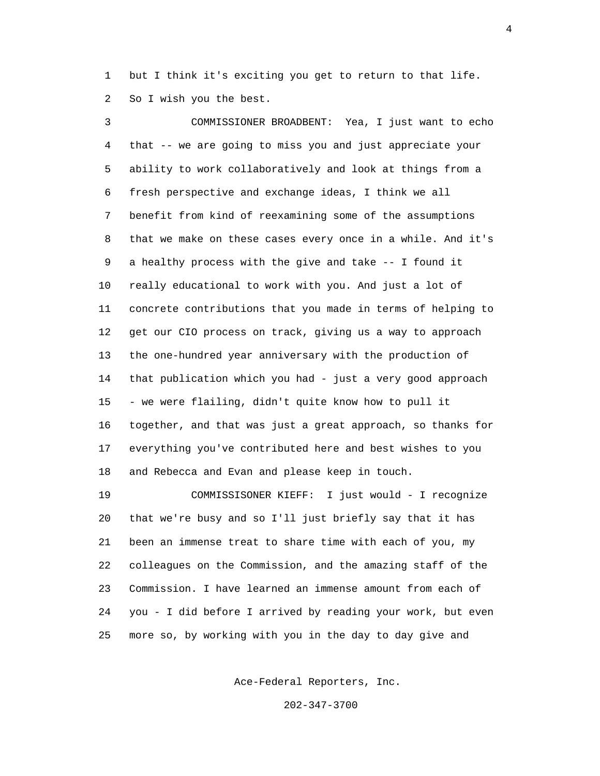1 but I think it's exciting you get to return to that life. 2 So I wish you the best.

 3 COMMISSIONER BROADBENT: Yea, I just want to echo 4 that -- we are going to miss you and just appreciate your 5 ability to work collaboratively and look at things from a 6 fresh perspective and exchange ideas, I think we all 7 benefit from kind of reexamining some of the assumptions 8 that we make on these cases every once in a while. And it's 9 a healthy process with the give and take -- I found it 10 really educational to work with you. And just a lot of 11 concrete contributions that you made in terms of helping to 12 get our CIO process on track, giving us a way to approach 13 the one-hundred year anniversary with the production of 14 that publication which you had - just a very good approach 15 - we were flailing, didn't quite know how to pull it 16 together, and that was just a great approach, so thanks for 17 everything you've contributed here and best wishes to you 18 and Rebecca and Evan and please keep in touch.

 19 COMMISSISONER KIEFF: I just would - I recognize 20 that we're busy and so I'll just briefly say that it has 21 been an immense treat to share time with each of you, my 22 colleagues on the Commission, and the amazing staff of the 23 Commission. I have learned an immense amount from each of 24 you - I did before I arrived by reading your work, but even 25 more so, by working with you in the day to day give and

Ace-Federal Reporters, Inc.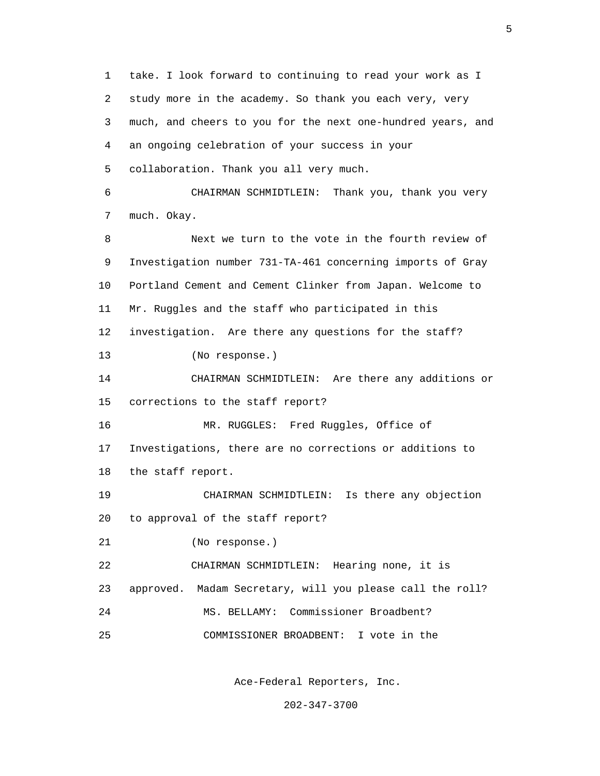1 take. I look forward to continuing to read your work as I 2 study more in the academy. So thank you each very, very 3 much, and cheers to you for the next one-hundred years, and 4 an ongoing celebration of your success in your 5 collaboration. Thank you all very much. 6 CHAIRMAN SCHMIDTLEIN: Thank you, thank you very 7 much. Okay. 8 Next we turn to the vote in the fourth review of 9 Investigation number 731-TA-461 concerning imports of Gray 10 Portland Cement and Cement Clinker from Japan. Welcome to 11 Mr. Ruggles and the staff who participated in this 12 investigation. Are there any questions for the staff? 13 (No response.) 14 CHAIRMAN SCHMIDTLEIN: Are there any additions or 15 corrections to the staff report? 16 MR. RUGGLES: Fred Ruggles, Office of 17 Investigations, there are no corrections or additions to 18 the staff report. 19 CHAIRMAN SCHMIDTLEIN: Is there any objection 20 to approval of the staff report? 21 (No response.) 22 CHAIRMAN SCHMIDTLEIN: Hearing none, it is 23 approved. Madam Secretary, will you please call the roll? 24 MS. BELLAMY: Commissioner Broadbent? 25 COMMISSIONER BROADBENT: I vote in the

Ace-Federal Reporters, Inc.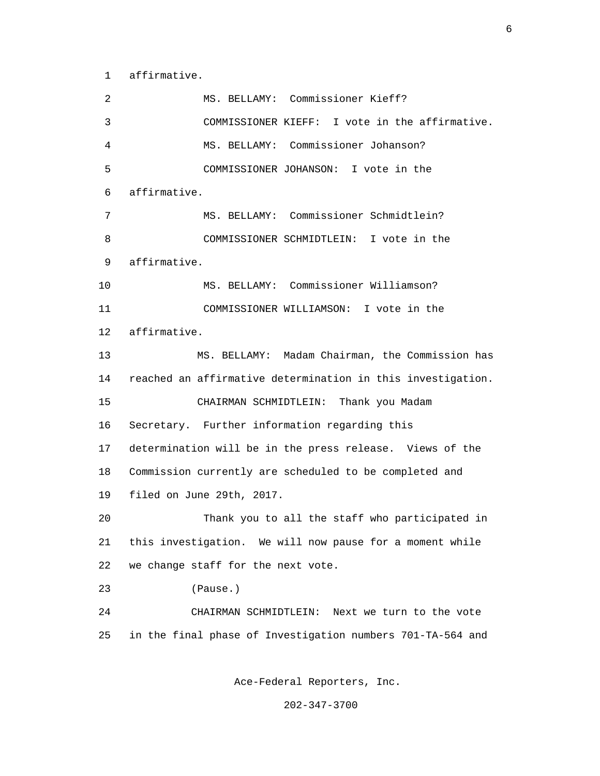1 affirmative.

| 2  | MS. BELLAMY: Commissioner Kieff?                            |
|----|-------------------------------------------------------------|
| 3  | COMMISSIONER KIEFF: I vote in the affirmative.              |
| 4  | MS. BELLAMY: Commissioner Johanson?                         |
| 5  | COMMISSIONER JOHANSON: I vote in the                        |
| 6  | affirmative.                                                |
| 7  | MS. BELLAMY: Commissioner Schmidtlein?                      |
| 8  | COMMISSIONER SCHMIDTLEIN: I vote in the                     |
| 9  | affirmative.                                                |
| 10 | MS. BELLAMY: Commissioner Williamson?                       |
| 11 | COMMISSIONER WILLIAMSON: I vote in the                      |
| 12 | affirmative.                                                |
| 13 | MS. BELLAMY: Madam Chairman, the Commission has             |
| 14 | reached an affirmative determination in this investigation. |
| 15 | CHAIRMAN SCHMIDTLEIN: Thank you Madam                       |
| 16 | Secretary. Further information regarding this               |
| 17 | determination will be in the press release. Views of the    |
| 18 | Commission currently are scheduled to be completed and      |
| 19 | filed on June 29th, 2017.                                   |
| 20 | Thank you to all the staff who participated in              |
| 21 | this investigation. We will now pause for a moment while    |
| 22 | we change staff for the next vote.                          |
| 23 | (Pause.)                                                    |
| 24 | CHAIRMAN SCHMIDTLEIN: Next we turn to the vote              |
| 25 | in the final phase of Investigation numbers 701-TA-564 and  |
|    |                                                             |

Ace-Federal Reporters, Inc.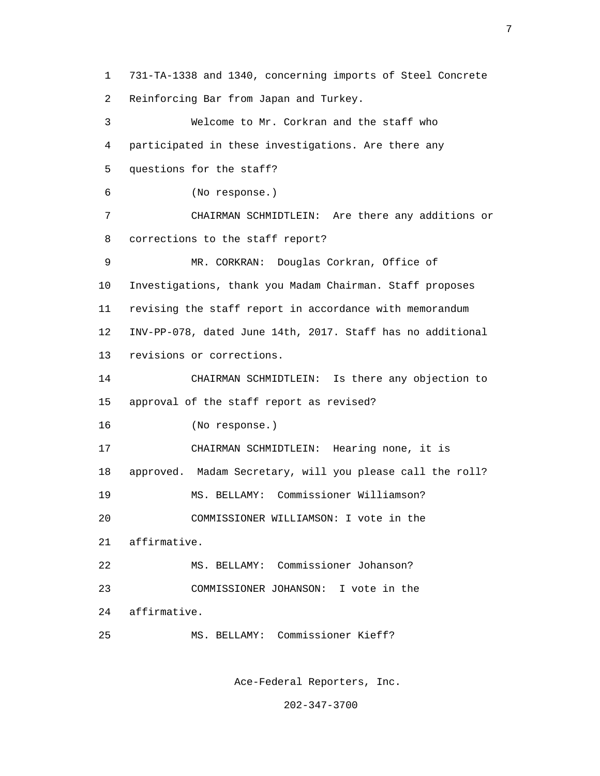1 731-TA-1338 and 1340, concerning imports of Steel Concrete 2 Reinforcing Bar from Japan and Turkey. 3 Welcome to Mr. Corkran and the staff who 4 participated in these investigations. Are there any 5 questions for the staff? 6 (No response.) 7 CHAIRMAN SCHMIDTLEIN: Are there any additions or 8 corrections to the staff report? 9 MR. CORKRAN: Douglas Corkran, Office of 10 Investigations, thank you Madam Chairman. Staff proposes 11 revising the staff report in accordance with memorandum 12 INV-PP-078, dated June 14th, 2017. Staff has no additional 13 revisions or corrections. 14 CHAIRMAN SCHMIDTLEIN: Is there any objection to 15 approval of the staff report as revised? 16 (No response.) 17 CHAIRMAN SCHMIDTLEIN: Hearing none, it is 18 approved. Madam Secretary, will you please call the roll? 19 MS. BELLAMY: Commissioner Williamson? 20 COMMISSIONER WILLIAMSON: I vote in the 21 affirmative. 22 MS. BELLAMY: Commissioner Johanson? 23 COMMISSIONER JOHANSON: I vote in the 24 affirmative. 25 MS. BELLAMY: Commissioner Kieff?

Ace-Federal Reporters, Inc.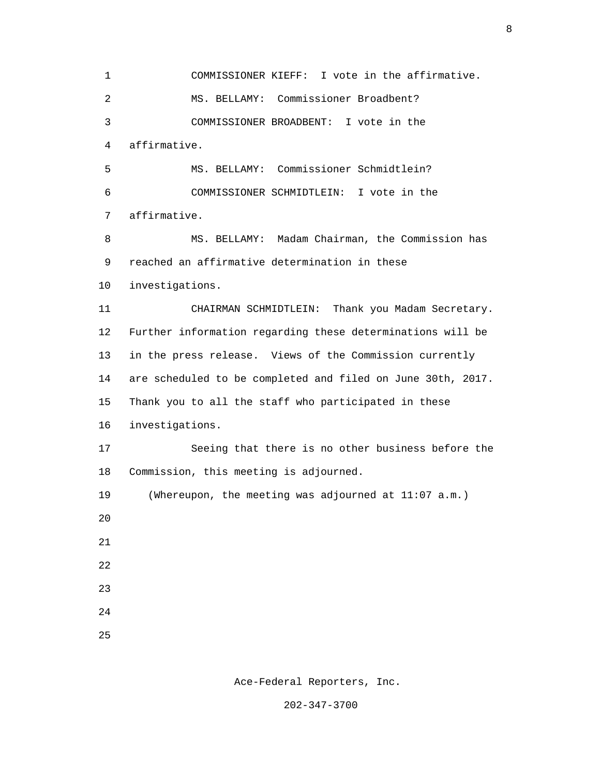1 COMMISSIONER KIEFF: I vote in the affirmative. 2 MS. BELLAMY: Commissioner Broadbent? 3 COMMISSIONER BROADBENT: I vote in the 4 affirmative. 5 MS. BELLAMY: Commissioner Schmidtlein? 6 COMMISSIONER SCHMIDTLEIN: I vote in the 7 affirmative. 8 MS. BELLAMY: Madam Chairman, the Commission has 9 reached an affirmative determination in these 10 investigations. 11 CHAIRMAN SCHMIDTLEIN: Thank you Madam Secretary. 12 Further information regarding these determinations will be 13 in the press release. Views of the Commission currently 14 are scheduled to be completed and filed on June 30th, 2017. 15 Thank you to all the staff who participated in these 16 investigations. 17 Seeing that there is no other business before the 18 Commission, this meeting is adjourned. 19 (Whereupon, the meeting was adjourned at 11:07 a.m.) 20 21 22 23 24 <u>25</u>

Ace-Federal Reporters, Inc.